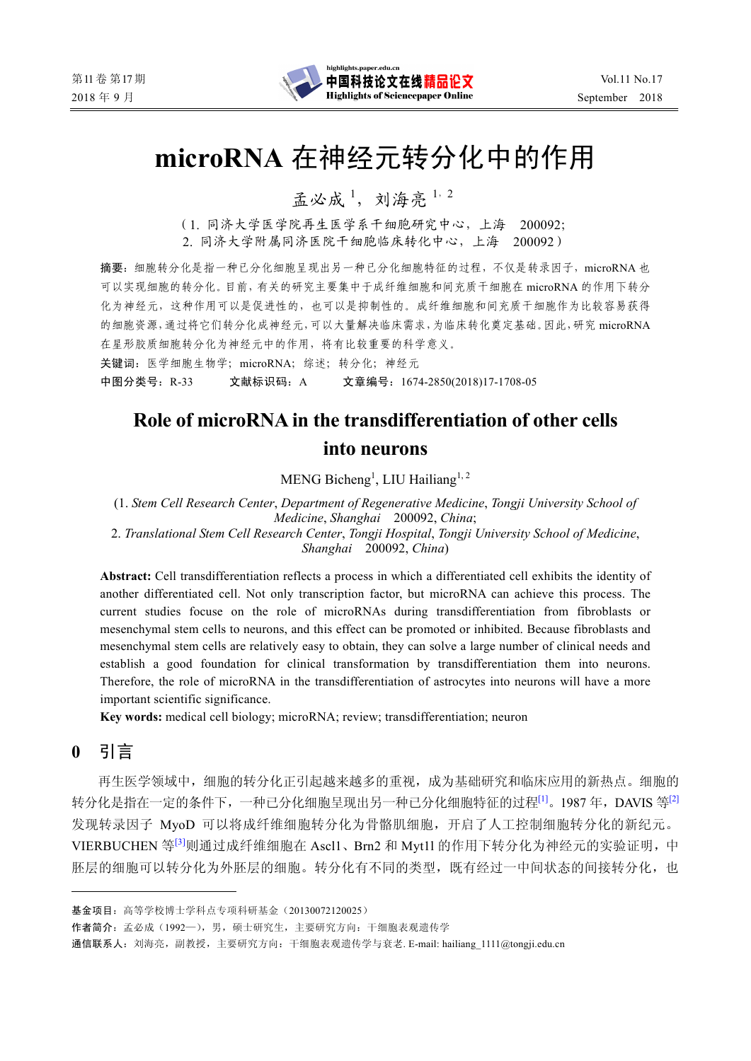

# **microRNA** 在神经元转分化中的作用

孟必成<sup>1</sup>, 刘海亮<sup>1,2</sup>

(1. 同济大学医学院再生医学系干细胞研究中心,上海 200092; 2. 同济大学附属同济医院干细胞临床转化中心,上海 200092)

摘要:细胞转分化是指一种已分化细胞呈现出另一种已分化细胞特征的过程,不仅是转录因子,microRNA 也 可以实现细胞的转分化。目前,有关的研究主要集中于成纤维细胞和间充质干细胞在 microRNA 的作用下转分 化为神经元,这种作用可以是促进性的,也可以是抑制性的。成纤维细胞和间充质干细胞作为比较容易获得 的细胞资源,通过将它们转分化成神经元,可以大量解决临床需求,为临床转化奠定基础。因此,研究 microRNA 在星形胶质细胞转分化为神经元中的作用,将有比较重要的科学意义。

关键词: 医学细胞生物学; microRNA; 综述; 转分化; 神经元

中图分类号:R-33 文献标识码:A 文章编号:1674-2850(2018)17-1708-05

# **Role of microRNA in the transdifferentiation of other cells into neurons**

 $MENG$  Bicheng<sup>1</sup>, LIU Hailiang<sup>1, 2</sup>

(1. *Stem Cell Research Center*, *Department of Regenerative Medicine*, *Tongji University School of Medicine*, *Shanghai* 200092, *China*;

2. *Translational Stem Cell Research Center*, *Tongji Hospital*, *Tongji University School of Medicine*, *Shanghai* 200092, *China*)

**Abstract:** Cell transdifferentiation reflects a process in which a differentiated cell exhibits the identity of another differentiated cell. Not only transcription factor, but microRNA can achieve this process. The current studies focuse on the role of microRNAs during transdifferentiation from fibroblasts or mesenchymal stem cells to neurons, and this effect can be promoted or inhibited. Because fibroblasts and mesenchymal stem cells are relatively easy to obtain, they can solve a large number of clinical needs and establish a good foundation for clinical transformation by transdifferentiation them into neurons. Therefore, the role of microRNA in the transdifferentiation of astrocytes into neurons will have a more important scientific significance.

**Key words:** medical cell biology; microRNA; review; transdifferentiation; neuron

**0** 引言

再生医学领域中,细胞的转分化正引起越来越多的重视,成为基础研究和临床应用的新热点。细胞的 转分化是指在一定的条件下,一种已分化细胞呈现出另一种已分化细胞特征的过程<sup>[1]</sup>。1987年,DAVIS 等<sup>[2]</sup> 发现转录因子 MyoD 可以将成纤维细胞转分化为骨骼肌细胞,开启了人工控制细胞转分化的新纪元。 VIERBUCHEN 等<sup>[3]</sup>则通过成纤维细胞在 Ascl1、Brn2 和 Myt1l 的作用下转分化为神经元的实验证明, 中 胚层的细胞可以转分化为外胚层的细胞。转分化有不同的类型,既有经过一中间状态的间接转分化,也

作者简介:孟必成(1992—),男,硕士研究生,主要研究方向:干细胞表观遗传学

通信联系人: 刘海亮, 副教授, 主要研究方向: 干细胞表观遗传学与衰老. E-mail: hailiang\_1111@tongji.edu.cn

基金项目:高等学校博士学科点专项科研基金(20130072120025)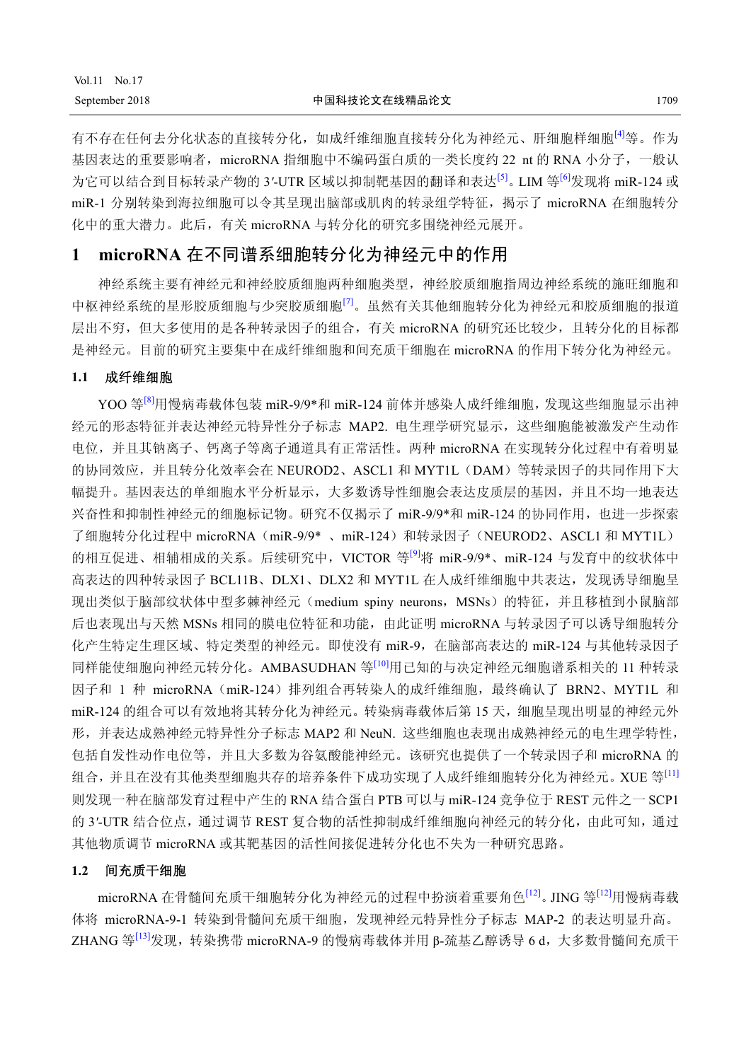# Vol.11 No.17

有不存在任何去分化状态的直接转分化,如成纤维细胞直接转分化为神经元、肝细胞样细胞<sup>[4]</sup>等。作为 基因表达的重要影响者,microRNA 指细胞中不编码蛋白质的一类长度约 22 nt 的 RNA 小分子,一般认 为它可以结合到目标转录产物的 3*'*-UTR 区域以抑制靶基因的翻译和表达[5]。LIM 等[6]发现将 miR-124 或 miR-1 分别转染到海拉细胞可以令其呈现出脑部或肌肉的转录组学特征,揭示了 microRNA 在细胞转分 化中的重大潜力。此后,有关 microRNA 与转分化的研究多围绕神经元展开。

## **1 microRNA** 在不同谱系细胞转分化为神经元中的作用

神经系统主要有神经元和神经胶质细胞两种细胞类型,神经胶质细胞指周边神经系统的施旺细胞和 中枢神经系统的星形胶质细胞与少突胶质细胞<sup>[7]</sup>。虽然有关其他细胞转分化为神经元和胶质细胞的报道 层出不穷,但大多使用的是各种转录因子的组合,有关 microRNA 的研究还比较少,且转分化的目标都 是神经元。目前的研究主要集中在成纤维细胞和间充质干细胞在 microRNA 的作用下转分化为神经元。

#### **1.1** 成纤维细胞

YOO 等<sup>[8]</sup>用慢病毒载体包装 miR-9/9\*和 miR-124 前体并感染人成纤维细胞, 发现这些细胞显示出神 经元的形态特征并表达神经元特异性分子标志 MAP2. 电生理学研究显示,这些细胞能被激发产生动作 电位,并且其钠离子、钙离子等离子通道具有正常活性。两种 microRNA 在实现转分化过程中有着明显 的协同效应,并且转分化效率会在 NEUROD2、ASCL1 和 MYT1L (DAM) 等转录因子的共同作用下大 幅提升。基因表达的单细胞水平分析显示,大多数诱导性细胞会表达皮质层的基因,并且不均一地表达 兴奋性和抑制性神经元的细胞标记物。研究不仅揭示了 miR-9/9\*和 miR-124 的协同作用, 也进一步探索 了细胞转分化过程中 microRNA(miR-9/9\* 、miR-124)和转录因子(NEUROD2、ASCL1 和 MYT1L) 的相互促进、相辅相成的关系。后续研究中, VICTOR 等<sup>[9]</sup>将 miR-9/9\*、miR-124 与发育中的纹状体中 高表达的四种转录因子 BCL11B、DLX1、DLX2 和 MYT1L 在人成纤维细胞中共表达,发现诱导细胞呈 现出类似于脑部纹状体中型多棘神经元(medium spiny neurons, MSNs)的特征, 并且移植到小鼠脑部 后也表现出与天然 MSNs 相同的膜电位特征和功能,由此证明 microRNA 与转录因子可以诱导细胞转分 化产生特定生理区域、特定类型的神经元。即使没有 miR-9,在脑部高表达的 miR-124 与其他转录因子 同样能使细胞向神经元转分化。AMBASUDHAN 等<sup>[10]</sup>用已知的与决定神经元细胞谱系相关的 11 种转录 因子和 1 种 microRNA(miR-124)排列组合再转染人的成纤维细胞,最终确认了 BRN2、MYT1L 和 miR-124 的组合可以有效地将其转分化为神经元。转染病毒载体后第15天, 细胞呈现出明显的神经元外 形,并表达成熟神经元特异性分子标志 MAP2 和 NeuN. 这些细胞也表现出成熟神经元的电生理学特性, 包括自发性动作电位等,并且大多数为谷氨酸能神经元。该研究也提供了一个转录因子和 microRNA 的 组合,并且在没有其他类型细胞共存的培养条件下成功实现了人成纤维细胞转分化为神经元。XUE 等<sup>[11]</sup> 则发现一种在脑部发育过程中产生的 RNA 结合蛋白 PTB 可以与 miR-124 竞争位于 REST 元件之一 SCP1 的 3*'*-UTR 结合位点,通过调节 REST 复合物的活性抑制成纤维细胞向神经元的转分化,由此可知,通过 其他物质调节 microRNA 或其靶基因的活性间接促进转分化也不失为一种研究思路。

#### **1.2** 间充质干细胞

microRNA 在骨髓间充质干细胞转分化为神经元的过程中扮演着重要角色<sup>[12]</sup>。JING 等<sup>[12]</sup>用慢病毒载 体将 microRNA-9-1 转染到骨髓间充质干细胞, 发现神经元特异性分子标志 MAP-2 的表达明显升高。 ZHANG 等<sup>[13]</sup>发现, 转染携带 microRNA-9 的慢病毒载体并用 β-巯基乙醇诱导 6 d, 大多数骨髓间充质干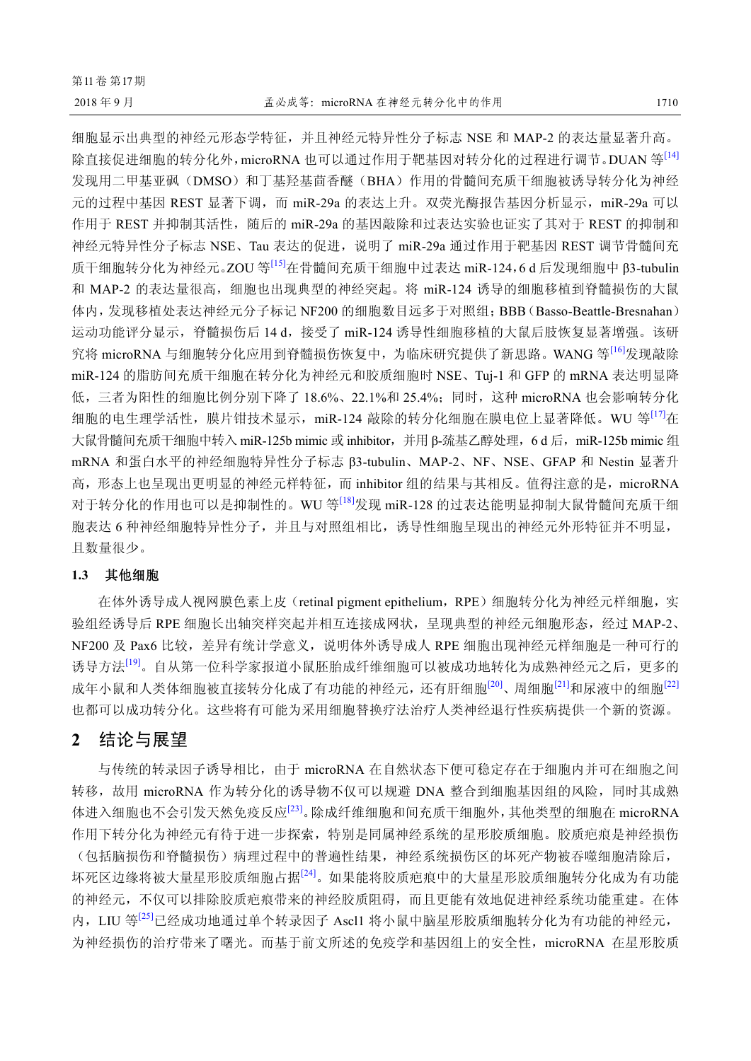细胞显示出典型的神经元形态学特征,并且神经元特异性分子标志 NSE 和 MAP-2 的表达量显著升高。 除直接促进细胞的转分化外,microRNA 也可以通过作用于靶基因对转分化的过程进行调节。DUAN 等<sup>[14]</sup> 发现用二甲基亚砜(DMSO)和丁基羟基茴香醚(BHA)作用的骨髓间充质干细胞被诱导转分化为神经 元的过程中基因 REST 显著下调,而 miR-29a 的表达上升。双荧光酶报告基因分析显示, miR-29a 可以 作用于 REST 并抑制其活性, 随后的 miR-29a 的基因敲除和过表达实验也证实了其对于 REST 的抑制和 神经元特异性分子标志 NSE、Tau 表达的促进,说明了 miR-29a 通过作用于靶基因 REST 调节骨髓间充 质干细胞转分化为神经元。ZOU 等[15]在骨髓间充质干细胞中过表达 miR-124,6 d 后发现细胞中 β3-tubulin 和 MAP-2 的表达量很高,细胞也出现典型的神经突起。将 miR-124 诱导的细胞移植到脊髓损伤的大鼠 体内,发现移植处表达神经元分子标记 NF200 的细胞数目远多于对照组;BBB(Basso-Beattle-Bresnahan) 运动功能评分显示, 脊髓损伤后 14 d,接受了 miR-124 诱导性细胞移植的大鼠后肢恢复显著增强。该研 究将 microRNA 与细胞转分化应用到脊髓损伤恢复中, 为临床研究提供了新思路。WANG 等<sup>[16]</sup>发现敲除 miR-124 的脂肪间充质干细胞在转分化为神经元和胶质细胞时 NSE、Tuj-1 和 GFP 的 mRNA 表达明显降 低,三者为阳性的细胞比例分别下降了18.6%、22.1%和 25.4%;同时,这种 microRNA 也会影响转分化 细胞的电生理学活性,膜片钳技术显示,miR-124 敲除的转分化细胞在膜电位上显著降低。WU 等<sup>[17]</sup>在 大鼠骨髓间充质干细胞中转入 miR-125b mimic 或 inhibitor, 并用 β-巯基乙醇处理, 6 d 后, miR-125b mimic 组 mRNA 和蛋白水平的神经细胞特异性分子标志 β3-tubulin、MAP-2、NF、NSE、GFAP 和 Nestin 显著升 高,形态上也呈现出更明显的神经元样特征,而 inhibitor 组的结果与其相反。值得注意的是, microRNA 对于转分化的作用也可以是抑制性的。WU 等<sup>[18]</sup>发现 miR-128 的过表达能明显抑制大鼠骨髓间充质干细 胞表达 6 种神经细胞特异性分子,并且与对照组相比,诱导性细胞呈现出的神经元外形特征并不明显, 且数量很少。

### **1.3** 其他细胞

在体外诱导成人视网膜色素上皮(retinal pigment epithelium, RPE)细胞转分化为神经元样细胞,实 验组经诱导后 RPE 细胞长出轴突样突起并相互连接成网状,呈现典型的神经元细胞形态,经过 MAP-2、 NF200 及 Pax6 比较,差异有统计学意义,说明体外诱导成人 RPE 细胞出现神经元样细胞是一种可行的 诱导方法<sup>[19]</sup>。自从第一位科学家报道小鼠胚胎成纤维细胞可以被成功地转化为成熟神经元之后,更多的 成年小鼠和人类体细胞被直接转分化成了有功能的神经元,还有肝细胞<sup>[20]</sup>、周细胞<sup>[21]</sup>和尿液中的细胞<sup>[22]</sup> 也都可以成功转分化。这些将有可能为采用细胞替换疗法治疗人类神经退行性疾病提供一个新的资源。

### **2** 结论与展望

与传统的转录因子诱导相比,由于 microRNA 在自然状态下便可稳定存在于细胞内并可在细胞之间 转移,故用 microRNA 作为转分化的诱导物不仅可以规避 DNA 整合到细胞基因组的风险,同时其成熟 体进入细胞也不会引发天然免疫反应[23]。除成纤维细胞和间充质干细胞外,其他类型的细胞在 microRNA 作用下转分化为神经元有待于进一步探索,特别是同属神经系统的星形胶质细胞。胶质疤痕是神经损伤 (包括脑损伤和脊髓损伤)病理过程中的普遍性结果,神经系统损伤区的坏死产物被吞噬细胞清除后,

坏死区边缘将被大量星形胶质细胞占据[24]。如果能将胶质疤痕中的大量星形胶质细胞转分化成为有功能 的神经元,不仅可以排除胶质疤痕带来的神经胶质阻碍,而且更能有效地促进神经系统功能重建。在体 内, LIU 等<sup>[25]</sup>已经成功地通过单个转录因子 Ascl1 将小鼠中脑星形胶质细胞转分化为有功能的神经元, 为神经损伤的治疗带来了曙光。而基于前文所述的免疫学和基因组上的安全性,microRNA 在星形胶质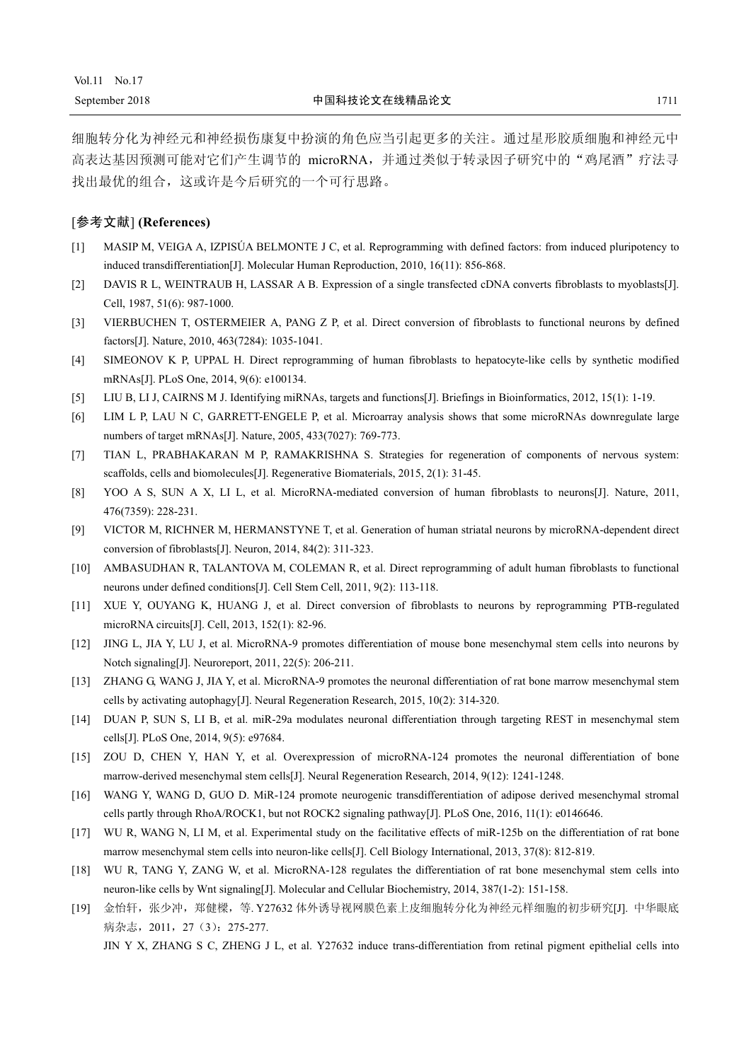细胞转分化为神经元和神经损伤康复中扮演的角色应当引起更多的关注。通过星形胶质细胞和神经元中 高表达基因预测可能对它们产生调节的 microRNA,并通过类似于转录因子研究中的"鸡尾酒"疗法寻 找出最优的组合,这或许是今后研究的一个可行思路。

#### [参考文献] **(References)**

- [1] MASIP M, VEIGA A, IZPISÚA BELMONTE J C, et al. Reprogramming with defined factors: from induced pluripotency to induced transdifferentiation[J]. Molecular Human Reproduction, 2010, 16(11): 856-868.
- [2] DAVIS R L, WEINTRAUB H, LASSAR A B. Expression of a single transfected cDNA converts fibroblasts to myoblasts[J]. Cell, 1987, 51(6): 987-1000.
- [3] VIERBUCHEN T, OSTERMEIER A, PANG Z P, et al. Direct conversion of fibroblasts to functional neurons by defined factors[J]. Nature, 2010, 463(7284): 1035-1041.
- [4] SIMEONOV K P, UPPAL H. Direct reprogramming of human fibroblasts to hepatocyte-like cells by synthetic modified mRNAs[J]. PLoS One, 2014, 9(6): e100134.
- [5] LIU B, LI J, CAIRNS M J. Identifying miRNAs, targets and functions[J]. Briefings in Bioinformatics, 2012, 15(1): 1-19.
- [6] LIM L P, LAU N C, GARRETT-ENGELE P, et al. Microarray analysis shows that some microRNAs downregulate large numbers of target mRNAs[J]. Nature, 2005, 433(7027): 769-773.
- [7] TIAN L, PRABHAKARAN M P, RAMAKRISHNA S. Strategies for regeneration of components of nervous system: scaffolds, cells and biomolecules[J]. Regenerative Biomaterials, 2015, 2(1): 31-45.
- [8] YOO A S, SUN A X, LI L, et al. MicroRNA-mediated conversion of human fibroblasts to neurons[J]. Nature, 2011, 476(7359): 228-231.
- [9] VICTOR M, RICHNER M, HERMANSTYNE T, et al. Generation of human striatal neurons by microRNA-dependent direct conversion of fibroblasts[J]. Neuron, 2014, 84(2): 311-323.
- [10] AMBASUDHAN R, TALANTOVA M, COLEMAN R, et al. Direct reprogramming of adult human fibroblasts to functional neurons under defined conditions[J]. Cell Stem Cell, 2011, 9(2): 113-118.
- [11] XUE Y, OUYANG K, HUANG J, et al. Direct conversion of fibroblasts to neurons by reprogramming PTB-regulated microRNA circuits[J]. Cell, 2013, 152(1): 82-96.
- [12] JING L, JIA Y, LU J, et al. MicroRNA-9 promotes differentiation of mouse bone mesenchymal stem cells into neurons by Notch signaling[J]. Neuroreport, 2011, 22(5): 206-211.
- [13] ZHANG G, WANG J, JIA Y, et al. MicroRNA-9 promotes the neuronal differentiation of rat bone marrow mesenchymal stem cells by activating autophagy[J]. Neural Regeneration Research, 2015, 10(2): 314-320.
- [14] DUAN P, SUN S, LI B, et al. miR-29a modulates neuronal differentiation through targeting REST in mesenchymal stem cells[J]. PLoS One, 2014, 9(5): e97684.
- [15] ZOU D, CHEN Y, HAN Y, et al. Overexpression of microRNA-124 promotes the neuronal differentiation of bone marrow-derived mesenchymal stem cells[J]. Neural Regeneration Research, 2014, 9(12): 1241-1248.
- [16] WANG Y, WANG D, GUO D. MiR-124 promote neurogenic transdifferentiation of adipose derived mesenchymal stromal cells partly through RhoA/ROCK1, but not ROCK2 signaling pathway[J]. PLoS One, 2016, 11(1): e0146646.
- [17] WU R, WANG N, LI M, et al. Experimental study on the facilitative effects of miR-125b on the differentiation of rat bone marrow mesenchymal stem cells into neuron-like cells[J]. Cell Biology International, 2013, 37(8): 812-819.
- [18] WU R, TANG Y, ZANG W, et al. MicroRNA-128 regulates the differentiation of rat bone mesenchymal stem cells into neuron-like cells by Wnt signaling[J]. Molecular and Cellular Biochemistry, 2014, 387(1-2): 151-158.
- [19] 金怡轩,张少冲,郑健樑,等. Y27632 体外诱导视网膜色素上皮细胞转分化为神经元样细胞的初步研究[J]. 中华眼底 病杂志, 2011, 27 (3): 275-277.

JIN Y X, ZHANG S C, ZHENG J L, et al. Y27632 induce trans-differentiation from retinal pigment epithelial cells into